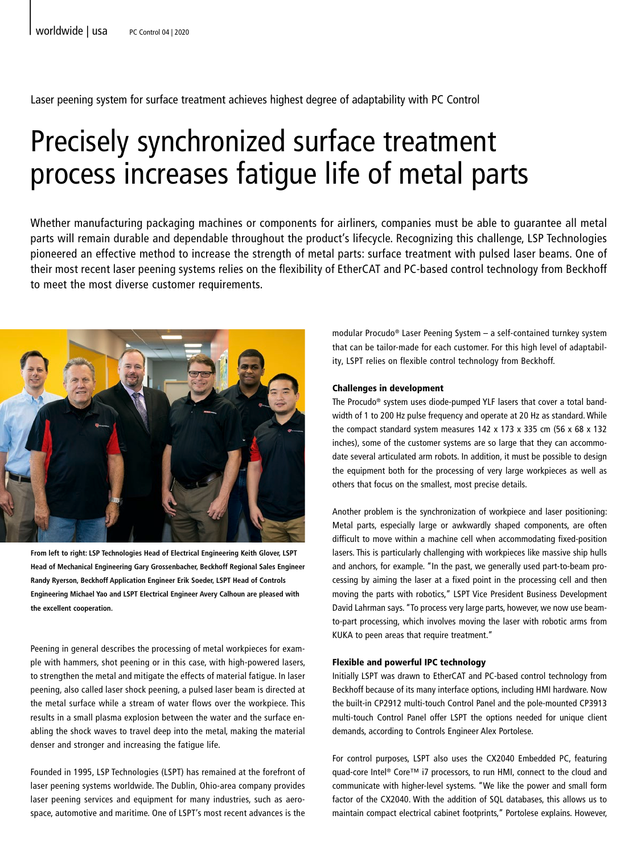# Laser peening system for surface treatment achieves highest degree of adaptability with PC Control

# Precisely synchronized surface treatment process increases fatigue life of metal parts

Whether manufacturing packaging machines or components for airliners, companies must be able to guarantee all metal parts will remain durable and dependable throughout the product's lifecycle. Recognizing this challenge, LSP Technologies pioneered an effective method to increase the strength of metal parts: surface treatment with pulsed laser beams. One of their most recent laser peening systems relies on the flexibility of EtherCAT and PC-based control technology from Beckhoff to meet the most diverse customer requirements.



**From left to right: LSP Technologies Head of Electrical Engineering Keith Glover, LSPT Head of Mechanical Engineering Gary Grossenbacher, Beckhoff Regional Sales Engineer Randy Ryerson, Beckhoff Application Engineer Erik Soeder, LSPT Head of Controls Engineering Michael Yao and LSPT Electrical Engineer Avery Calhoun are pleased with the excellent cooperation.**

Peening in general describes the processing of metal workpieces for example with hammers, shot peening or in this case, with high-powered lasers, to strengthen the metal and mitigate the effects of material fatigue. In laser peening, also called laser shock peening, a pulsed laser beam is directed at the metal surface while a stream of water flows over the workpiece. This results in a small plasma explosion between the water and the surface enabling the shock waves to travel deep into the metal, making the material denser and stronger and increasing the fatigue life.

Founded in 1995, LSP Technologies (LSPT) has remained at the forefront of laser peening systems worldwide. The Dublin, Ohio-area company provides laser peening services and equipment for many industries, such as aerospace, automotive and maritime. One of LSPT's most recent advances is the modular Procudo® Laser Peening System – a self-contained turnkey system that can be tailor-made for each customer. For this high level of adaptability, LSPT relies on flexible control technology from Beckhoff.

### Challenges in development

The Procudo® system uses diode-pumped YLF lasers that cover a total bandwidth of 1 to 200 Hz pulse frequency and operate at 20 Hz as standard. While the compact standard system measures 142 x 173 x 335 cm (56 x 68 x 132 inches), some of the customer systems are so large that they can accommodate several articulated arm robots. In addition, it must be possible to design the equipment both for the processing of very large workpieces as well as others that focus on the smallest, most precise details.

Another problem is the synchronization of workpiece and laser positioning: Metal parts, especially large or awkwardly shaped components, are often difficult to move within a machine cell when accommodating fixed-position lasers. This is particularly challenging with workpieces like massive ship hulls and anchors, for example. "In the past, we generally used part-to-beam processing by aiming the laser at a fixed point in the processing cell and then moving the parts with robotics," LSPT Vice President Business Development David Lahrman says. "To process very large parts, however, we now use beamto-part processing, which involves moving the laser with robotic arms from KUKA to peen areas that require treatment."

## Flexible and powerful IPC technology

Initially LSPT was drawn to EtherCAT and PC-based control technology from Beckhoff because of its many interface options, including HMI hardware. Now the built-in CP2912 multi-touch Control Panel and the pole-mounted CP3913 multi-touch Control Panel offer LSPT the options needed for unique client demands, according to Controls Engineer Alex Portolese.

For control purposes, LSPT also uses the CX2040 Embedded PC, featuring quad-core Intel® Core™ i7 processors, to run HMI, connect to the cloud and communicate with higher-level systems. "We like the power and small form factor of the CX2040. With the addition of SQL databases, this allows us to maintain compact electrical cabinet footprints," Portolese explains. However,